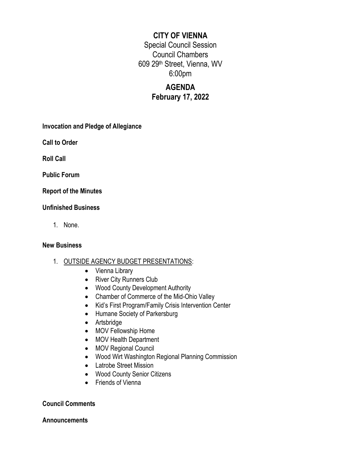## **CITY OF VIENNA**

Special Council Session Council Chambers 609 29th Street, Vienna, WV 6:00pm

## **AGENDA February 17, 2022**

**Invocation and Pledge of Allegiance**

**Call to Order**

**Roll Call**

**Public Forum**

**Report of the Minutes**

### **Unfinished Business**

1. None.

#### **New Business**

- 1. OUTSIDE AGENCY BUDGET PRESENTATIONS:
	- Vienna Library
	- River City Runners Club
	- Wood County Development Authority
	- Chamber of Commerce of the Mid-Ohio Valley
	- Kid's First Program/Family Crisis Intervention Center
	- Humane Society of Parkersburg
	- Artsbridge
	- MOV Fellowship Home
	- MOV Health Department
	- MOV Regional Council
	- Wood Wirt Washington Regional Planning Commission
	- Latrobe Street Mission
	- Wood County Senior Citizens
	- Friends of Vienna

### **Council Comments**

#### **Announcements**